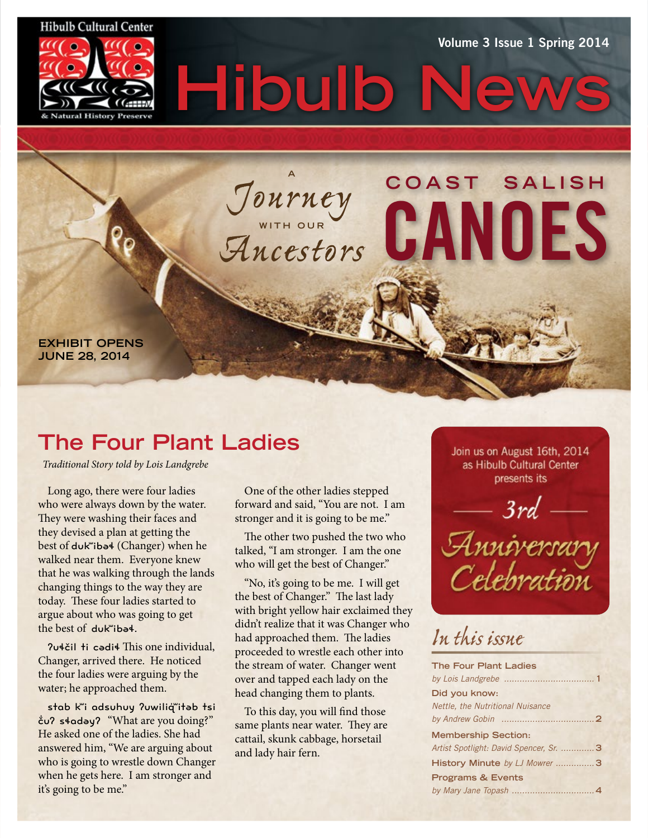#### **Hibulb Cultural Center**



Volume 3 Issue 1 Spring 2014

**C O A S T S A L I S H** 

CANOES

*Journey* **WITH OUR** *Ancestors*

**A**

Hibulb

**EXHIBIT OPENS JUNE 28, 2014**

# **The Four Plant Ladies**

*Traditional Story told by Lois Landgrebe*

Long ago, there were four ladies who were always down by the water. They were washing their faces and they devised a plan at getting the best of dukʷibəɬ (Changer) when he walked near them. Everyone knew that he was walking through the lands changing things to the way they are today. These four ladies started to argue about who was going to get the best of dukʷibəɬ.

ʔuɬčil ti cədiɬ Th is one individual, Changer, arrived there. He noticed the four ladies were arguing by the water; he approached them.

stab k"i adsuhuy ?uwiliq"itab tsi č̓ uʔ sɬadəyʔ "What are you doing?" He asked one of the ladies. She had answered him, "We are arguing about who is going to wrestle down Changer when he gets here. I am stronger and it's going to be me."

One of the other ladies stepped forward and said, "You are not. I am stronger and it is going to be me."

The other two pushed the two who talked, "I am stronger. I am the one who will get the best of Changer."

"No, it's going to be me. I will get the best of Changer." The last lady with bright yellow hair exclaimed they didn't realize that it was Changer who had approached them. The ladies proceeded to wrestle each other into the stream of water. Changer went over and tapped each lady on the head changing them to plants.

To this day, you will find those same plants near water. They are cattail, skunk cabbage, horsetail and lady hair fern.

Join us on August 16th, 2014 as Hibulb Cultural Center presents its



# *In this issue*

| <b>The Four Plant Ladies</b>           |  |
|----------------------------------------|--|
|                                        |  |
| Did you know:                          |  |
| Nettle, the Nutritional Nuisance       |  |
|                                        |  |
| <b>Membership Section:</b>             |  |
| Artist Spotlight: David Spencer, Sr. 3 |  |
| History Minute by LJ Mowrer 3          |  |
| <b>Programs &amp; Events</b>           |  |
|                                        |  |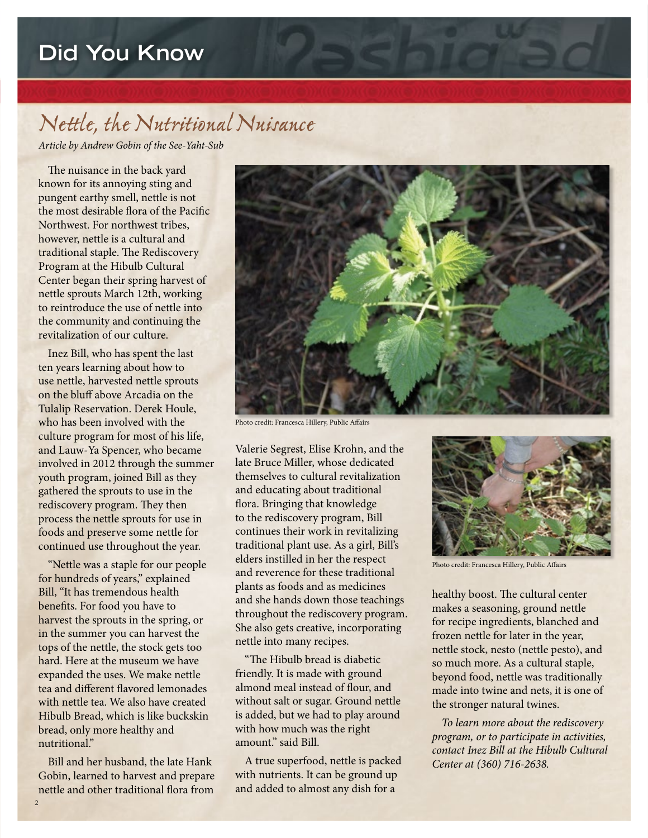# **Did You Know**

# *Nettle, the Nutritional Nuisance*

*Article by Andrew Gobin of the See-Yaht-Sub*

The nuisance in the back yard known for its annoying sting and pungent earthy smell, nettle is not the most desirable flora of the Pacific Northwest. For northwest tribes, however, nettle is a cultural and traditional staple. The Rediscovery Program at the Hibulb Cultural Center began their spring harvest of nettle sprouts March 12th, working to reintroduce the use of nettle into the community and continuing the revitalization of our culture.

Inez Bill, who has spent the last ten years learning about how to use nettle, harvested nettle sprouts on the bluff above Arcadia on the Tulalip Reservation. Derek Houle, who has been involved with the culture program for most of his life, and Lauw-Ya Spencer, who became involved in 2012 through the summer youth program, joined Bill as they gathered the sprouts to use in the rediscovery program. They then process the nettle sprouts for use in foods and preserve some nettle for continued use throughout the year.

"Nettle was a staple for our people for hundreds of years," explained Bill, "It has tremendous health benefits. For food you have to harvest the sprouts in the spring, or in the summer you can harvest the tops of the nettle, the stock gets too hard. Here at the museum we have expanded the uses. We make nettle tea and different flavored lemonades with nettle tea. We also have created Hibulb Bread, which is like buckskin bread, only more healthy and nutritional."

Bill and her husband, the late Hank Gobin, learned to harvest and prepare nettle and other traditional flora from



Photo credit: Francesca Hillery, Public Affairs

Valerie Segrest, Elise Krohn, and the late Bruce Miller, whose dedicated themselves to cultural revitalization and educating about traditional flora. Bringing that knowledge to the rediscovery program, Bill continues their work in revitalizing traditional plant use. As a girl, Bill's elders instilled in her the respect and reverence for these traditional plants as foods and as medicines and she hands down those teachings throughout the rediscovery program. She also gets creative, incorporating nettle into many recipes.

"The Hibulb bread is diabetic friendly. It is made with ground almond meal instead of flour, and without salt or sugar. Ground nettle is added, but we had to play around with how much was the right amount." said Bill.

A true superfood, nettle is packed with nutrients. It can be ground up and added to almost any dish for a



Photo credit: Francesca Hillery, Public Affairs

healthy boost. The cultural center makes a seasoning, ground nettle for recipe ingredients, blanched and frozen nettle for later in the year, nettle stock, nesto (nettle pesto), and so much more. As a cultural staple, beyond food, nettle was traditionally made into twine and nets, it is one of the stronger natural twines.

*To learn more about the rediscovery program, or to participate in activities, contact Inez Bill at the Hibulb Cultural Center at (360) 716-2638.*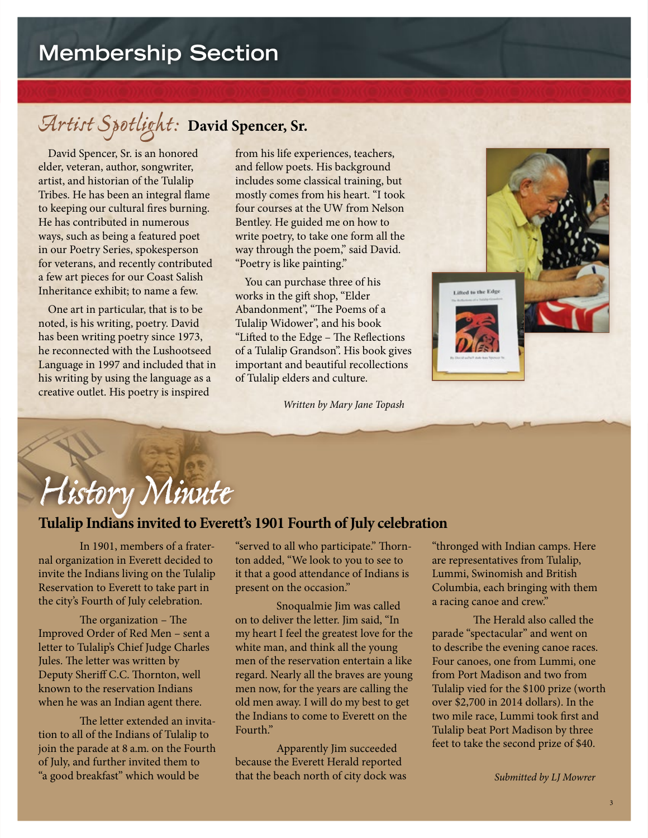# *Artist Spotlight:* **David Spencer, Sr.**

David Spencer, Sr. is an honored elder, veteran, author, songwriter, artist, and historian of the Tulalip Tribes. He has been an integral flame to keeping our cultural fires burning. He has contributed in numerous ways, such as being a featured poet in our Poetry Series, spokesperson for veterans, and recently contributed a few art pieces for our Coast Salish Inheritance exhibit; to name a few.

One art in particular, that is to be noted, is his writing, poetry. David has been writing poetry since 1973, he reconnected with the Lushootseed Language in 1997 and included that in his writing by using the language as a creative outlet. His poetry is inspired

from his life experiences, teachers, and fellow poets. His background includes some classical training, but mostly comes from his heart. "I took four courses at the UW from Nelson Bentley. He guided me on how to write poetry, to take one form all the way through the poem," said David. "Poetry is like painting."

You can purchase three of his works in the gift shop, "Elder Abandonment", "The Poems of a Tulalip Widower", and his book "Lifted to the Edge - The Reflections of a Tulalip Grandson". His book gives important and beautiful recollections of Tulalip elders and culture.

 *Written by Mary Jane Topash*



## **Tulalip Indians invited to Everett's 1901 Fourth of July celebration**

 In 1901, members of a fraternal organization in Everett decided to invite the Indians living on the Tulalip Reservation to Everett to take part in the city's Fourth of July celebration.

The organization  $-$  The Improved Order of Red Men – sent a letter to Tulalip's Chief Judge Charles Jules. The letter was written by Deputy Sheriff C.C. Thornton, well known to the reservation Indians when he was an Indian agent there.

The letter extended an invitation to all of the Indians of Tulalip to join the parade at 8 a.m. on the Fourth of July, and further invited them to "a good breakfast" which would be

"served to all who participate." Thornton added, "We look to you to see to it that a good attendance of Indians is present on the occasion."

 Snoqualmie Jim was called on to deliver the letter. Jim said, "In my heart I feel the greatest love for the white man, and think all the young men of the reservation entertain a like regard. Nearly all the braves are young men now, for the years are calling the old men away. I will do my best to get the Indians to come to Everett on the Fourth<sup>"</sup>

 Apparently Jim succeeded because the Everett Herald reported that the beach north of city dock was "thronged with Indian camps. Here are representatives from Tulalip, Lummi, Swinomish and British Columbia, each bringing with them a racing canoe and crew."

Lifted to the Edge

The Herald also called the parade "spectacular" and went on to describe the evening canoe races. Four canoes, one from Lummi, one from Port Madison and two from Tulalip vied for the \$100 prize (worth over \$2,700 in 2014 dollars). In the two mile race, Lummi took first and Tulalip beat Port Madison by three feet to take the second prize of \$40.

*Submitted by LJ Mowrer*